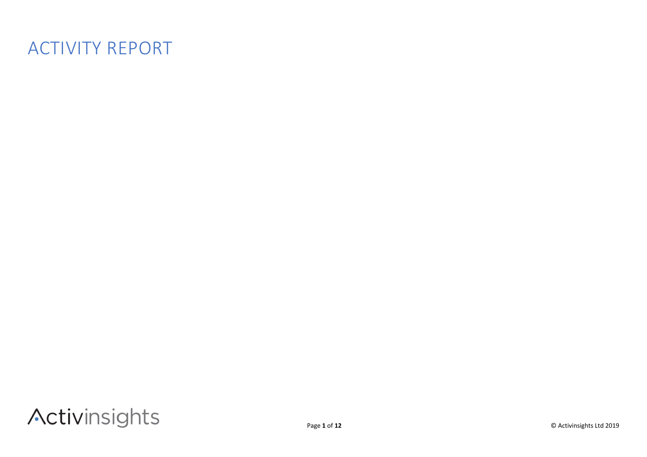#### ACTIVITY REPORT

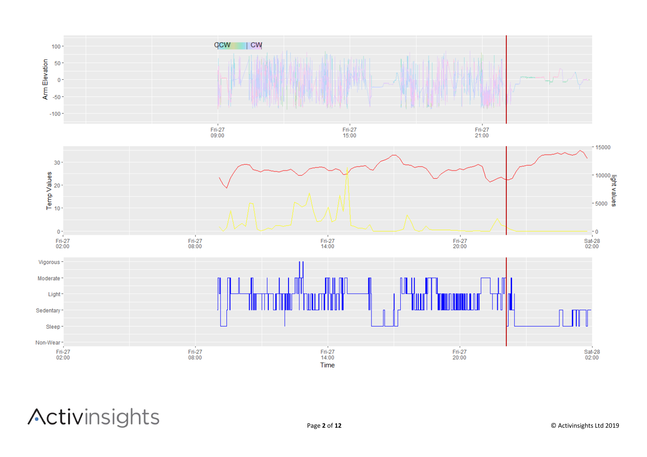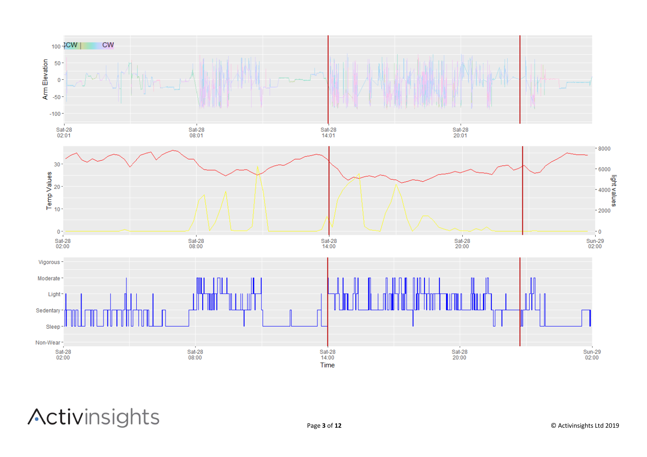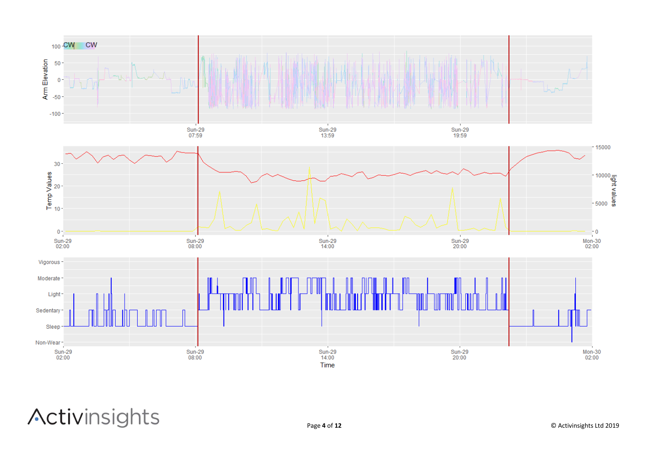

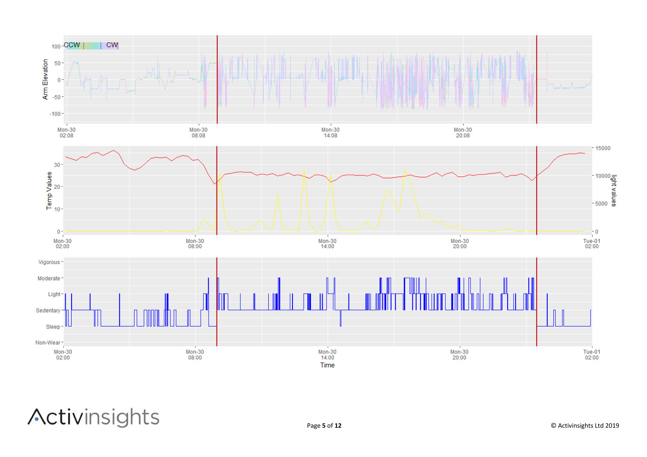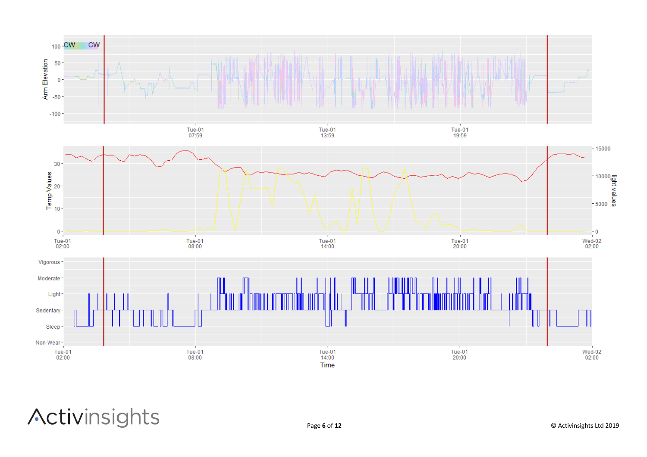

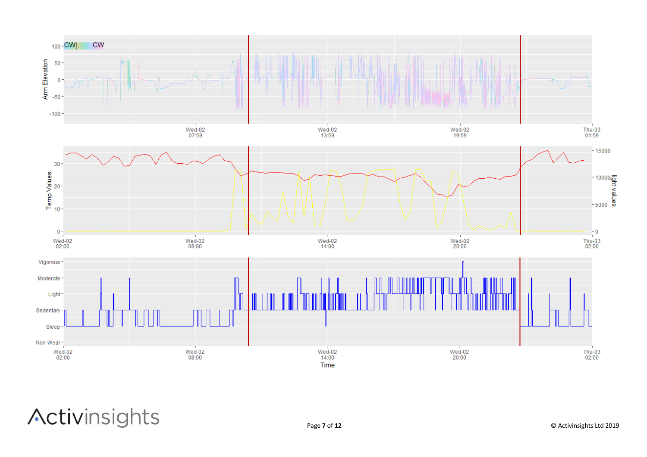

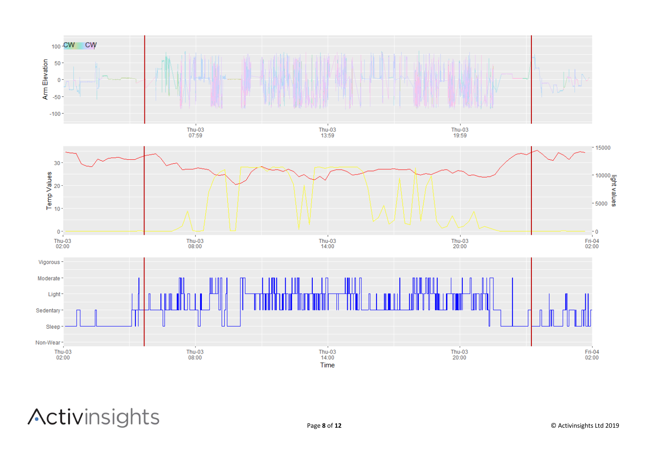

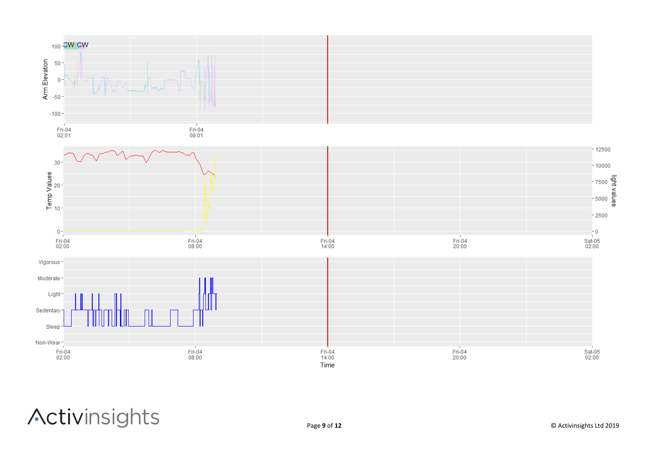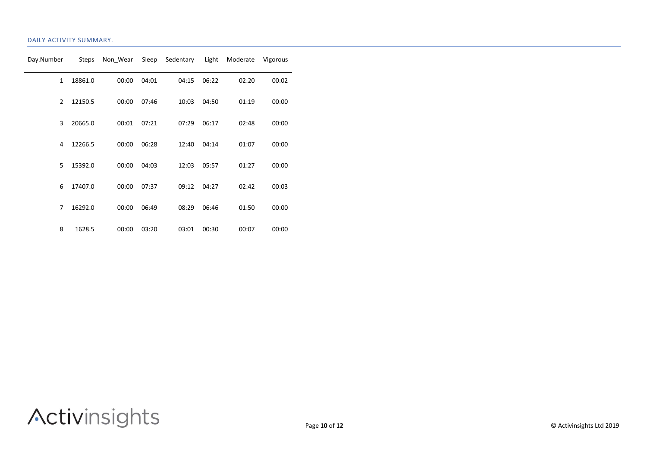#### DAILY ACTIVITY SUMMARY.

| Day.Number     | <b>Steps</b> | Non Wear | Sleep | Sedentary | Light | Moderate | Vigorous |
|----------------|--------------|----------|-------|-----------|-------|----------|----------|
| $\mathbf{1}$   | 18861.0      | 00:00    | 04:01 | 04:15     | 06:22 | 02:20    | 00:02    |
| $\overline{2}$ | 12150.5      | 00:00    | 07:46 | 10:03     | 04:50 | 01:19    | 00:00    |
| 3              | 20665.0      | 00:01    | 07:21 | 07:29     | 06:17 | 02:48    | 00:00    |
| 4              | 12266.5      | 00:00    | 06:28 | 12:40     | 04:14 | 01:07    | 00:00    |
| 5              | 15392.0      | 00:00    | 04:03 | 12:03     | 05:57 | 01:27    | 00:00    |
| 6              | 17407.0      | 00:00    | 07:37 | 09:12     | 04:27 | 02:42    | 00:03    |
| 7              | 16292.0      | 00:00    | 06:49 | 08:29     | 06:46 | 01:50    | 00:00    |
| 8              | 1628.5       | 00:00    | 03:20 | 03:01     | 00:30 | 00:07    | 00:00    |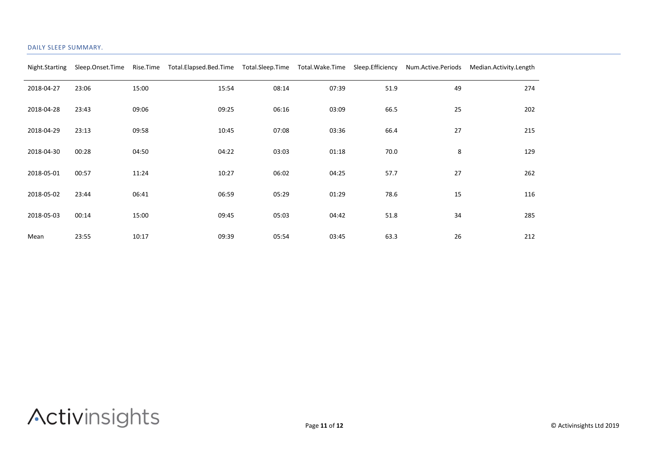#### DAILY SLEEP SUMMARY.

| Night.Starting |       |       | Sleep.Onset.Time Rise.Time Total.Elapsed.Bed.Time Total.Sleep.Time Total.Wake.Time Sleep.Efficiency Num.Active.Periods Median.Activity.Length |       |       |      |    |     |
|----------------|-------|-------|-----------------------------------------------------------------------------------------------------------------------------------------------|-------|-------|------|----|-----|
| 2018-04-27     | 23:06 | 15:00 | 15:54                                                                                                                                         | 08:14 | 07:39 | 51.9 | 49 | 274 |
| 2018-04-28     | 23:43 | 09:06 | 09:25                                                                                                                                         | 06:16 | 03:09 | 66.5 | 25 | 202 |
| 2018-04-29     | 23:13 | 09:58 | 10:45                                                                                                                                         | 07:08 | 03:36 | 66.4 | 27 | 215 |
| 2018-04-30     | 00:28 | 04:50 | 04:22                                                                                                                                         | 03:03 | 01:18 | 70.0 | 8  | 129 |
| 2018-05-01     | 00:57 | 11:24 | 10:27                                                                                                                                         | 06:02 | 04:25 | 57.7 | 27 | 262 |
| 2018-05-02     | 23:44 | 06:41 | 06:59                                                                                                                                         | 05:29 | 01:29 | 78.6 | 15 | 116 |
| 2018-05-03     | 00:14 | 15:00 | 09:45                                                                                                                                         | 05:03 | 04:42 | 51.8 | 34 | 285 |
| Mean           | 23:55 | 10:17 | 09:39                                                                                                                                         | 05:54 | 03:45 | 63.3 | 26 | 212 |